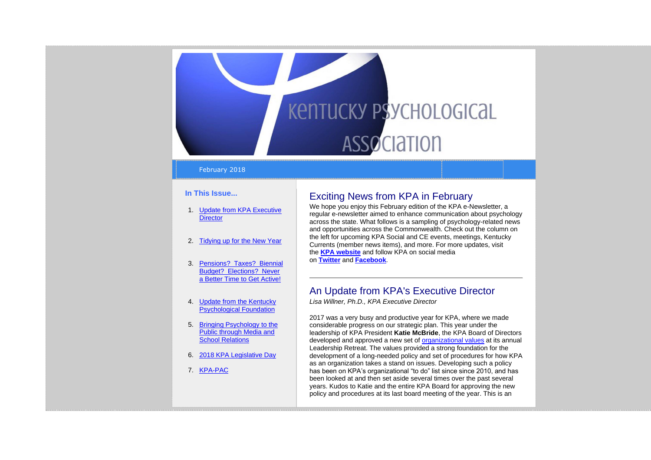# **KENTUCKY PSYCHOLOGICAL ASSOCIATION**

## February 2018

## **In This Issue...**

- 1. [Update from KPA Executive](https://kpa.memberclicks.net/administrator/index.php?option=com_mccore&view=contactcenter#edreport)  **[Director](https://kpa.memberclicks.net/administrator/index.php?option=com_mccore&view=contactcenter#edreport)**
- 2. [Tidying up for the New Year](https://kpa.memberclicks.net/administrator/index.php?option=com_mccore&view=contactcenter#DPA)
- 3. [Pensions?](https://kpa.memberclicks.net/administrator/index.php?option=com_mccore&view=contactcenter#SAS) Taxes? Biennial Budget? [Elections?](https://kpa.memberclicks.net/administrator/index.php?option=com_mccore&view=contactcenter#SAS) Never [a Better Time to Get Active!](https://kpa.memberclicks.net/administrator/index.php?option=com_mccore&view=contactcenter#SAS)
- 4. [Update from the Kentucky](https://kpa.memberclicks.net/administrator/index.php?option=com_mccore&view=contactcenter#KPF)  [Psychological Foundation](https://kpa.memberclicks.net/administrator/index.php?option=com_mccore&view=contactcenter#KPF)
- 5. [Bringing Psychology to the](https://kpa.memberclicks.net/administrator/index.php?option=com_mccore&view=contactcenter#SchoolRelations)  [Public through Media and](https://kpa.memberclicks.net/administrator/index.php?option=com_mccore&view=contactcenter#SchoolRelations)  [School Relations](https://kpa.memberclicks.net/administrator/index.php?option=com_mccore&view=contactcenter#SchoolRelations)
- 6. [2018 KPA Legislative Day](https://kpa.memberclicks.net/administrator/index.php?option=com_mccore&view=contactcenter#LegDay)
- 7. [KPA-PAC](https://kpa.memberclicks.net/administrator/index.php?option=com_mccore&view=contactcenter#kpa-pac)

# Exciting News from KPA in February

We hope you enjoy this February edition of the KPA e-Newsletter, a regular e-newsletter aimed to enhance communication about psychology across the state. What follows is a sampling of psychology-related news and opportunities across the Commonwealth. Check out the column on the left for upcoming KPA Social and CE events, meetings, Kentucky Currents (member news items), and more. For more updates, visit the **KPA [website](http://www.kpa.org/)** and follow KPA on social media on **[Twitter](https://twitter.com/KYPsychAssoc)** and **[Facebook](https://www.facebook.com/KentuckyPsychAssociation/)**.

## An Update from KPA's Executive Director

*Lisa Willner, Ph.D., KPA Executive Director*

2017 was a very busy and productive year for KPA, where we made considerable progress on our strategic plan. This year under the leadership of KPA President **Katie McBride**, the KPA Board of Directors developed and approved a new set of [organizational values](https://kpa.memberclicks.net/kpa-mission--vision-and-values) at its annual Leadership Retreat. The values provided a strong foundation for the development of a long-needed policy and set of procedures for how KPA as an organization takes a stand on issues. Developing such a policy has been on KPA's organizational "to do" list since since 2010, and has been looked at and then set aside several times over the past several years. Kudos to Katie and the entire KPA Board for approving the new policy and procedures at its last board meeting of the year. This is an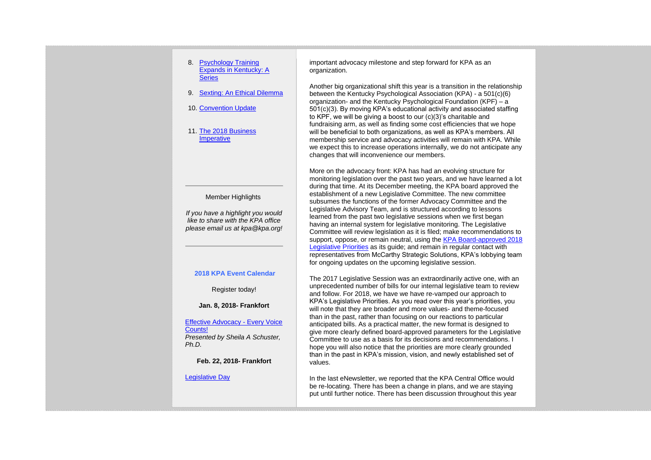## 8. [Psychology Training](https://kpa.memberclicks.net/administrator/index.php?option=com_mccore&view=contactcenter#Communications)  [Expands in Kentucky: A](https://kpa.memberclicks.net/administrator/index.php?option=com_mccore&view=contactcenter#Communications)  **[Series](https://kpa.memberclicks.net/administrator/index.php?option=com_mccore&view=contactcenter#Communications)**

9. [Sexting: An Ethical Dilemma](https://kpa.memberclicks.net/administrator/index.php?option=com_mccore&view=contactcenter#ethics)

## 10. [Convention Update](https://kpa.memberclicks.net/administrator/index.php?option=com_mccore&view=contactcenter#ConvUpdate)

11. [The 2018 Business](https://kpa.memberclicks.net/administrator/index.php?option=com_mccore&view=contactcenter#Guest)  [Imperative](https://kpa.memberclicks.net/administrator/index.php?option=com_mccore&view=contactcenter#Guest)

## Member Highlights

*If you have a highlight you would like to share with the KPA office please email us at kpa@kpa.org!*

## **2018 KPA Event Calendar**

Register today!

**Jan. 8, 2018- Frankfort**

[Effective Advocacy -](https://kpa.memberclicks.net/index.php?option=com_jevents&task=icalevent.detail&evid=25) Every Voice [Counts!](https://kpa.memberclicks.net/index.php?option=com_jevents&task=icalevent.detail&evid=25) *Presented by Sheila A Schuster, Ph.D.*

**Feb. 22, 2018- Frankfort**

## [Legislative Day](https://kpa.memberclicks.net/index.php?option=com_jevents&task=icalevent.detail&evid=28)

important advocacy milestone and step forward for KPA as an organization.

Another big organizational shift this year is a transition in the relationship between the Kentucky Psychological Association (KPA) - a 501(c)(6) organization- and the Kentucky Psychological Foundation (KPF) – a 501(c)(3). By moving KPA's educational activity and associated staffing to KPF, we will be giving a boost to our (c)(3)'s charitable and fundraising arm, as well as finding some cost efficiencies that we hope will be beneficial to both organizations, as well as KPA's members. All membership service and advocacy activities will remain with KPA. While we expect this to increase operations internally, we do not anticipate any changes that will inconvenience our members.

More on the advocacy front: KPA has had an evolving structure for monitoring legislation over the past two years, and we have learned a lot during that time. At its December meeting, the KPA board approved the establishment of a new Legislative Committee. The new committee subsumes the functions of the former Advocacy Committee and the Legislative Advisory Team, and is structured according to lessons learned from the past two legislative sessions when we first began having an internal system for legislative monitoring. The Legislative Committee will review legislation as it is filed; make recommendations to support, oppose, or remain neutral, using the [KPA Board-approved 2018](https://kpa.memberclicks.net/assets/Legislative/2018%20KPA%20Legislative%20Priorities%20-%20Revised%20after%20EC%20Meeting.pdf)  [Legislative Priorities](https://kpa.memberclicks.net/assets/Legislative/2018%20KPA%20Legislative%20Priorities%20-%20Revised%20after%20EC%20Meeting.pdf) as its guide; and remain in regular contact with representatives from McCarthy Strategic Solutions, KPA's lobbying team for ongoing updates on the upcoming legislative session.

The 2017 Legislative Session was an extraordinarily active one, with an unprecedented number of bills for our internal legislative team to review and follow. For 2018, we have we have re-vamped our approach to KPA's Legislative Priorities. As you read over this year's priorities, you will note that they are broader and more values- and theme-focused than in the past, rather than focusing on our reactions to particular anticipated bills. As a practical matter, the new format is designed to give more clearly defined board-approved parameters for the Legislative Committee to use as a basis for its decisions and recommendations. I hope you will also notice that the priorities are more clearly grounded than in the past in KPA's mission, vision, and newly established set of values.

In the last eNewsletter, we reported that the KPA Central Office would be re-locating. There has been a change in plans, and we are staying put until further notice. There has been discussion throughout this year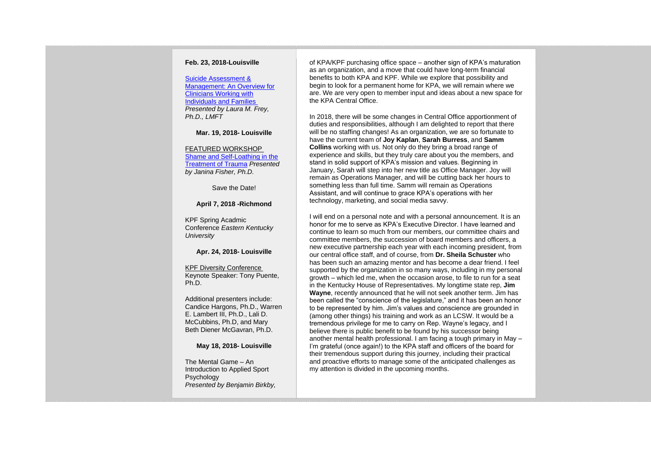## **Feb. 23, 2018-Louisville**

[Suicide Assessment &](https://kpa.memberclicks.net/index.php?option=com_jevents&task=icalevent.detail&evid=26)  [Management: An Overview for](https://kpa.memberclicks.net/index.php?option=com_jevents&task=icalevent.detail&evid=26)  [Clinicians Working with](https://kpa.memberclicks.net/index.php?option=com_jevents&task=icalevent.detail&evid=26)  [Individuals and Families](https://kpa.memberclicks.net/index.php?option=com_jevents&task=icalevent.detail&evid=26) *Presented by Laura M. Frey, Ph.D., LMFT*

## **Mar. 19, 2018- Louisville**

FEATURED WORKSHOP [Shame and Self-Loathing in the](https://kpa.memberclicks.net/index.php?option=com_jevents&task=icalevent.detail&evid=27)  [Treatment of Trauma](https://kpa.memberclicks.net/index.php?option=com_jevents&task=icalevent.detail&evid=27) *Presented by Janina Fisher, Ph.D.*

Save the Date!

**April 7, 2018 -Richmond**

KPF Spring Acadmic Conference *Eastern Kentucky University*

**Apr. 24, 2018- Louisville**

KPF Diversity Conference Keynote Speaker: Tony Puente, Ph.D.

Additional presenters include: Candice Hargons, Ph.D., Warren E. Lambert III, Ph.D., Lali D. McCubbins, Ph.D, and Mary Beth Diener McGavran, Ph.D.

## **May 18, 2018- Louisville**

The Mental Game – An Introduction to Applied Sport Psychology *Presented by Benjamin Birkby,* 

of KPA/KPF purchasing office space – another sign of KPA's maturation as an organization, and a move that could have long-term financial benefits to both KPA and KPF. While we explore that possibility and begin to look for a permanent home for KPA, we will remain where we are. We are very open to member input and ideas about a new space for the KPA Central Office.

In 2018, there will be some changes in Central Office apportionment of duties and responsibilities, although I am delighted to report that there will be no staffing changes! As an organization, we are so fortunate to have the current team of **Joy Kaplan**, **Sarah Burress**, and **Samm Collins** working with us. Not only do they bring a broad range of experience and skills, but they truly care about you the members, and stand in solid support of KPA's mission and values. Beginning in January, Sarah will step into her new title as Office Manager. Joy will remain as Operations Manager, and will be cutting back her hours to something less than full time. Samm will remain as Operations Assistant, and will continue to grace KPA's operations with her technology, marketing, and social media savvy.

I will end on a personal note and with a personal announcement. It is an honor for me to serve as KPA's Executive Director. I have learned and continue to learn so much from our members, our committee chairs and committee members, the succession of board members and officers, a new executive partnership each year with each incoming president, from our central office staff, and of course, from **Dr. Sheila Schuster** who has been such an amazing mentor and has become a dear friend. I feel supported by the organization in so many ways, including in my personal growth – which led me, when the occasion arose, to file to run for a seat in the Kentucky House of Representatives. My longtime state rep, **Jim Wayne**, recently announced that he will not seek another term. Jim has been called the "conscience of the legislature," and it has been an honor to be represented by him. Jim's values and conscience are grounded in (among other things) his training and work as an LCSW. It would be a tremendous privilege for me to carry on Rep. Wayne's legacy, and I believe there is public benefit to be found by his successor being another mental health professional. I am facing a tough primary in May – I'm grateful (once again!) to the KPA staff and officers of the board for their tremendous support during this journey, including their practical and proactive efforts to manage some of the anticipated challenges as my attention is divided in the upcoming months.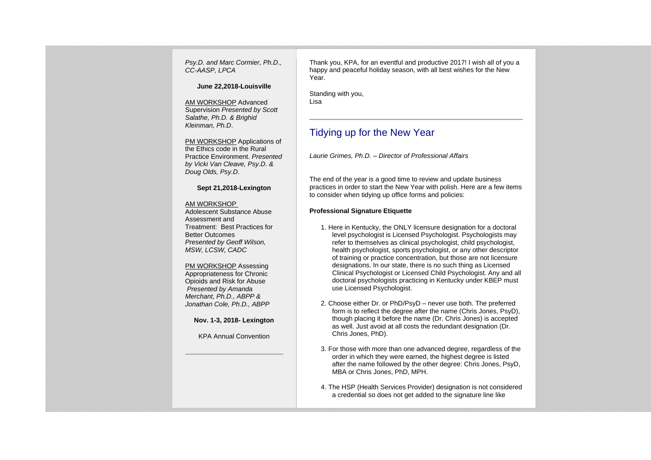*Psy.D. and Marc Cormier, Ph.D., CC-AASP, LPCA*

**June 22,2018-Louisville**

AM WORKSHOP Advanced Supervision *Presented by Scott Salathe, Ph.D. & Brighid Kleinman, Ph.D*.

PM WORKSHOP Applications of the Ethics code in the Rural Practice Environment. *Presented by Vicki Van Cleave, Psy.D. & Doug Olds, Psy.D.*

## **Sept 21,2018-Lexington**

#### AM WORKSHOP

Adolescent Substance Abuse Assessment and Treatment: Best Practices for Better Outcomes *Presented by Geoff Wilson, MSW, LCSW, CADC*

PM WORKSHOP Assessing Appropriateness for Chronic Opioids and Risk for Abuse *Presented by Amanda Merchant, Ph.D., ABPP & Jonathan Cole, Ph.D., ABPP*

**Nov. 1-3, 2018- Lexington**

KPA Annual Convention

Thank you, KPA, for an eventful and productive 2017! I wish all of you a happy and peaceful holiday season, with all best wishes for the New Year.

Standing with you, Lisa

## Tidying up for the New Year

## *Laurie Grimes, Ph.D. – Director of Professional Affairs*

The end of the year is a good time to review and update business practices in order to start the New Year with polish. Here are a few items to consider when tidying up office forms and policies:

## **Professional Signature Etiquette**

- 1. Here in Kentucky, the ONLY licensure designation for a doctoral level psychologist is Licensed Psychologist. Psychologists may refer to themselves as clinical psychologist, child psychologist, health psychologist, sports psychologist, or any other descriptor of training or practice concentration, but those are not licensure designations. In our state, there is no such thing as Licensed Clinical Psychologist or Licensed Child Psychologist. Any and all doctoral psychologists practicing in Kentucky under KBEP must use Licensed Psychologist.
- 2. Choose either Dr. or PhD/PsyD never use both. The preferred form is to reflect the degree after the name (Chris Jones, PsyD), though placing it before the name (Dr. Chris Jones) is accepted as well. Just avoid at all costs the redundant designation (Dr. Chris Jones, PhD).
- 3. For those with more than one advanced degree, regardless of the order in which they were earned, the highest degree is listed after the name followed by the other degree: Chris Jones, PsyD, MBA or Chris Jones, PhD, MPH.
- 4. The HSP (Health Services Provider) designation is not considered a credential so does not get added to the signature line like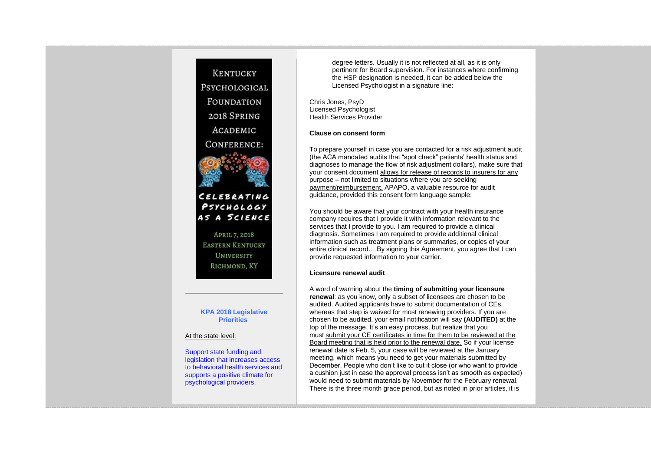# **KENTUCKY** Psychological **FOUNDATION** 2018 SPRING ACADEMIC

CONFERENCE:

CELEBRATING PSYCHOLOGY AS A SCIENCE

APRIL 7, 2018 **EASTERN KENTUCKY UNIVERSITY** RICHMOND, KY

## **KPA 2018 Legislative Priorities**

## At the state level:

Support state funding and legislation that increases access to behavioral health services and supports a positive climate for psychological providers.

degree letters. Usually it is not reflected at all, as it is only pertinent for Board supervision. For instances where confirming the HSP designation is needed, it can be added below the Licensed Psychologist in a signature line:

Chris Jones, PsyD Licensed Psychologist Health Services Provider

## **Clause on consent form**

To prepare yourself in case you are contacted for a risk adjustment audit (the ACA mandated audits that "spot check" patients' health status and diagnoses to manage the flow of risk adjustment dollars), make sure that your consent document allows for release of records to insurers for any purpose – not limited to situations where you are seeking payment/reimbursement. APAPO, a valuable resource for audit guidance, provided this consent form language sample:

You should be aware that your contract with your health insurance company requires that I provide it with information relevant to the services that I provide to you. I am required to provide a clinical diagnosis. Sometimes I am required to provide additional clinical information such as treatment plans or summaries, or copies of your entire clinical record….By signing this Agreement, you agree that I can provide requested information to your carrier.

## **Licensure renewal audit**

A word of warning about the **timing of submitting your licensure renewal**: as you know, only a subset of licensees are chosen to be audited. Audited applicants have to submit documentation of CEs, whereas that step is waived for most renewing providers. If you are chosen to be audited, your email notification will say **(AUDITED)** at the top of the message. It's an easy process, but realize that you must submit your CE certificates in time for them to be reviewed at the Board meeting that is held prior to the renewal date. So if your license renewal date is Feb. 5, your case will be reviewed at the January meeting, which means you need to get your materials submitted by December. People who don't like to cut it close (or who want to provide a cushion just in case the approval process isn't as smooth as expected) would need to submit materials by November for the February renewal. There is the three month grace period, but as noted in prior articles, it is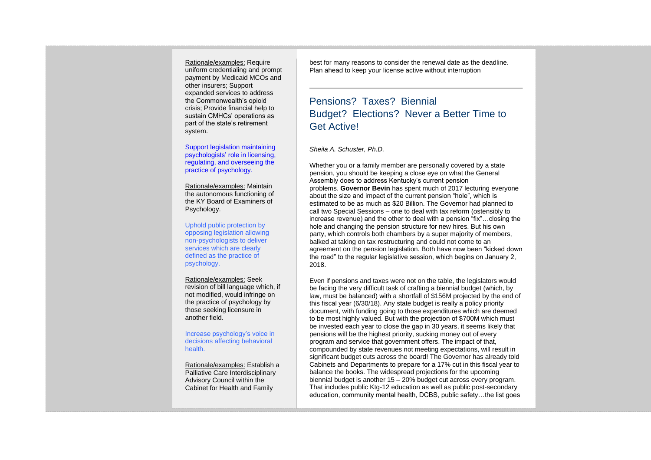Rationale/examples: Require uniform credentialing and prompt payment by Medicaid MCOs and other insurers; Support expanded services to address the Commonwealth's opioid crisis; Provide financial help to sustain CMHCs' operations as part of the state's retirement system.

Support legislation maintaining psychologists' role in licensing, regulating, and overseeing the practice of psychology.

Rationale/examples: Maintain the autonomous functioning of the KY Board of Examiners of Psychology.

Uphold public protection by opposing legislation allowing non-psychologists to deliver services which are clearly defined as the practice of psychology.

Rationale/examples: Seek revision of bill language which, if not modified, would infringe on the practice of psychology by those seeking licensure in another field.

## Increase psychology's voice in decisions affecting behavioral health.

Rationale/examples: Establish a Palliative Care Interdisciplinary Advisory Council within the Cabinet for Health and Family

best for many reasons to consider the renewal date as the deadline. Plan ahead to keep your license active without interruption

# Pensions? Taxes? Biennial Budget? Elections? Never a Better Time to Get Active!

*Sheila A. Schuster, Ph.D.*

Whether you or a family member are personally covered by a state pension, you should be keeping a close eye on what the General Assembly does to address Kentucky's current pension problems. **Governor Bevin** has spent much of 2017 lecturing everyone about the size and impact of the current pension "hole", which is estimated to be as much as \$20 Billion. The Governor had planned to call two Special Sessions – one to deal with tax reform (ostensibly to increase revenue) and the other to deal with a pension "fix"…closing the hole and changing the pension structure for new hires. But his own party, which controls both chambers by a super majority of members, balked at taking on tax restructuring and could not come to an agreement on the pension legislation. Both have now been "kicked down the road" to the regular legislative session, which begins on January 2, 2018.

Even if pensions and taxes were not on the table, the legislators would be facing the very difficult task of crafting a biennial budget (which, by law, must be balanced) with a shortfall of \$156M projected by the end of this fiscal year (6/30/18). Any state budget is really a policy priority document, with funding going to those expenditures which are deemed to be most highly valued. But with the projection of \$700M which must be invested each year to close the gap in 30 years, it seems likely that pensions will be the highest priority, sucking money out of every program and service that government offers. The impact of that, compounded by state revenues not meeting expectations, will result in significant budget cuts across the board! The Governor has already told Cabinets and Departments to prepare for a 17% cut in this fiscal year to balance the books. The widespread projections for the upcoming biennial budget is another 15 – 20% budget cut across every program. That includes public Ktg-12 education as well as public post-secondary education, community mental health, DCBS, public safety…the list goes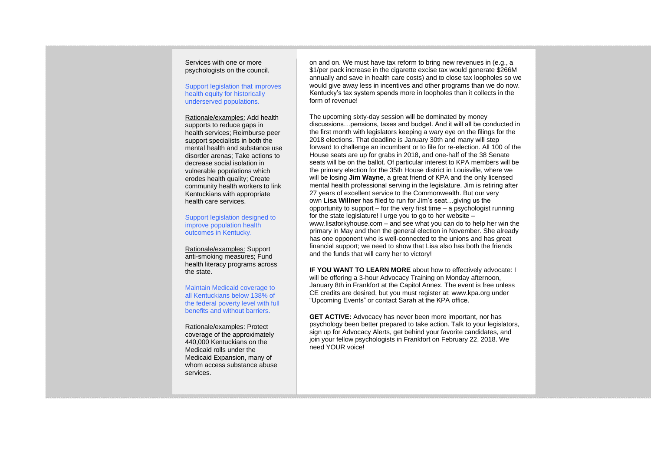## Services with one or more psychologists on the council.

Support legislation that improves health equity for historically underserved populations.

Rationale/examples: Add health supports to reduce gaps in health services; Reimburse peer support specialists in both the mental health and substance use disorder arenas; Take actions to decrease social isolation in vulnerable populations which erodes health quality; Create community health workers to link Kentuckians with appropriate health care services.

Support legislation designed to improve population health outcomes in Kentucky.

Rationale/examples: Support anti-smoking measures; Fund health literacy programs across the state.

Maintain Medicaid coverage to all Kentuckians below 138% of the federal poverty level with full benefits and without barriers.

Rationale/examples: Protect coverage of the approximately 440,000 Kentuckians on the Medicaid rolls under the Medicaid Expansion, many of whom access substance abuse services.

on and on. We must have tax reform to bring new revenues in (e.g., a \$1/per pack increase in the cigarette excise tax would generate \$266M annually and save in health care costs) and to close tax loopholes so we would give away less in incentives and other programs than we do now. Kentucky's tax system spends more in loopholes than it collects in the form of revenue!

The upcoming sixty-day session will be dominated by money discussions…pensions, taxes and budget. And it will all be conducted in the first month with legislators keeping a wary eye on the filings for the 2018 elections. That deadline is January 30th and many will step forward to challenge an incumbent or to file for re-election. All 100 of the House seats are up for grabs in 2018, and one-half of the 38 Senate seats will be on the ballot. Of particular interest to KPA members will be the primary election for the 35th House district in Louisville, where we will be losing **Jim Wayne**, a great friend of KPA and the only licensed mental health professional serving in the legislature. Jim is retiring after 27 years of excellent service to the Commonwealth. But our very own **Lisa Willner** has filed to run for Jim's seat…giving us the opportunity to support – for the very first time – a psychologist running for the state legislature! I urge you to go to her website – www.lisaforkyhouse.com – and see what you can do to help her win the primary in May and then the general election in November. She already has one opponent who is well-connected to the unions and has great financial support; we need to show that Lisa also has both the friends and the funds that will carry her to victory!

**IF YOU WANT TO LEARN MORE** about how to effectively advocate: I will be offering a 3-hour Advocacy Training on Monday afternoon, January 8th in Frankfort at the Capitol Annex. The event is free unless CE credits are desired, but you must register at: www.kpa.org under "Upcoming Events" or contact Sarah at the KPA office.

**GET ACTIVE:** Advocacy has never been more important, nor has psychology been better prepared to take action. Talk to your legislators, sign up for Advocacy Alerts, get behind your favorite candidates, and join your fellow psychologists in Frankfort on February 22, 2018. We need YOUR voice!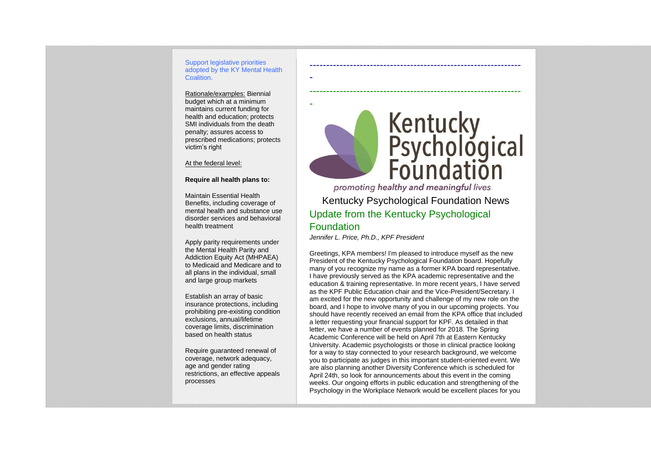## Support legislative priorities adopted by the KY Mental Health Coalition.

-

-

Rationale/examples: Biennial budget which at a minimum maintains current funding for health and education; protects SMI individuals from the death penalty; assures access to prescribed medications; protects victim's right

At the federal level:

## **Require all health plans to:**

Maintain Essential Health Benefits, including coverage of mental health and substance use disorder services and behavioral health treatment

Apply parity requirements under the Mental Health Parity and Addiction Equity Act (MHPAEA) to Medicaid and Medicare and to all plans in the individual, small and large group markets

Establish an array of basic insurance protections, including prohibiting pre-existing condition exclusions, annual/lifetime coverage limits, discrimination based on health status

Require guaranteed renewal of coverage, network adequacy, age and gender rating restrictions, an effective appeals processes

# Kentucky<br>Psychological<br>Foundation promoting healthy and meaningful lives

Kentucky Psychological Foundation News Update from the Kentucky Psychological Foundation

---------------------------------------------------------------

---------------------------------------------------------------

*Jennifer L. Price, Ph.D., KPF President*

Greetings, KPA members! I'm pleased to introduce myself as the new President of the Kentucky Psychological Foundation board. Hopefully many of you recognize my name as a former KPA board representative. I have previously served as the KPA academic representative and the education & training representative. In more recent years, I have served as the KPF Public Education chair and the Vice-President/Secretary. I am excited for the new opportunity and challenge of my new role on the board, and I hope to involve many of you in our upcoming projects. You should have recently received an email from the KPA office that included a letter requesting your financial support for KPF. As detailed in that letter, we have a number of events planned for 2018. The Spring Academic Conference will be held on April 7th at Eastern Kentucky University. Academic psychologists or those in clinical practice looking for a way to stay connected to your research background, we welcome you to participate as judges in this important student-oriented event. We are also planning another Diversity Conference which is scheduled for April 24th, so look for announcements about this event in the coming weeks. Our ongoing efforts in public education and strengthening of the Psychology in the Workplace Network would be excellent places for you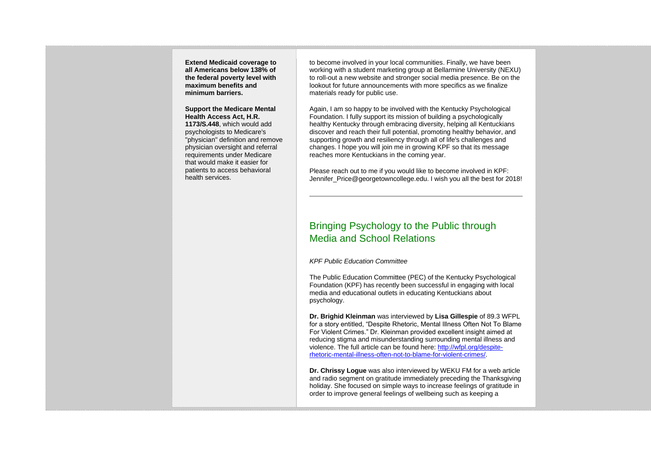**Extend Medicaid coverage to all Americans below 138% of the federal poverty level with maximum benefits and minimum barriers.**

**Support the Medicare Mental Health Access Act, H.R. 1173/S.448**, which would add psychologists to Medicare's "physician" definition and remove physician oversight and referral requirements under Medicare that would make it easier for patients to access behavioral health services.

to become involved in your local communities. Finally, we have been working with a student marketing group at Bellarmine University (NEXU) to roll-out a new website and stronger social media presence. Be on the lookout for future announcements with more specifics as we finalize materials ready for public use.

Again, I am so happy to be involved with the Kentucky Psychological Foundation. I fully support its mission of building a psychologically healthy Kentucky through embracing diversity, helping all Kentuckians discover and reach their full potential, promoting healthy behavior, and supporting growth and resiliency through all of life's challenges and changes. I hope you will join me in growing KPF so that its message reaches more Kentuckians in the coming year.

Please reach out to me if you would like to become involved in KPF: Jennifer Price@georgetowncollege.edu. I wish you all the best for 2018!

# Bringing Psychology to the Public through Media and School Relations

## *KPF Public Education Committee*

The Public Education Committee (PEC) of the Kentucky Psychological Foundation (KPF) has recently been successful in engaging with local media and educational outlets in educating Kentuckians about psychology.

**Dr. Brighid Kleinman** was interviewed by **Lisa Gillespie** of 89.3 WFPL for a story entitled, "Despite Rhetoric, Mental Illness Often Not To Blame For Violent Crimes." Dr. Kleinman provided excellent insight aimed at reducing stigma and misunderstanding surrounding mental illness and violence. The full article can be found here: [http://wfpl.org/despite](http://wfpl.org/despite-rhetoric-mental-illness-often-not-to-blame-for-violent-crimes/)[rhetoric-mental-illness-often-not-to-blame-for-violent-crimes/.](http://wfpl.org/despite-rhetoric-mental-illness-often-not-to-blame-for-violent-crimes/)

**Dr. Chrissy Logue** was also interviewed by WEKU FM for a web article and radio segment on gratitude immediately preceding the Thanksgiving holiday. She focused on simple ways to increase feelings of gratitude in order to improve general feelings of wellbeing such as keeping a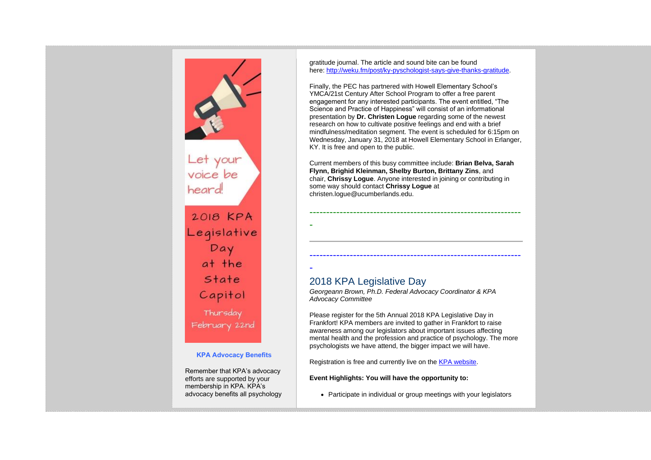

Remember that KPA's advocacy efforts are supported by your membership in KPA. KPA's advocacy benefits all psychology

Wednesday, January 31, 2018 at Howell Elementary School in Erlanger, KY. It is free and open to the public.

-

-

Current members of this busy committee include: **Brian Belva, Sarah Flynn, Brighid Kleinman, Shelby Burton, Brittany Zins**, and chair, **Chrissy Logue**. Anyone interested in joining or contributing in some way should contact **Chrissy Logue** at christen.logue@ucumberlands.edu.

---------------------------------------------------------------

---------------------------------------------------------------

gratitude journal. The article and sound bite can be found

here: [http://weku.fm/post/ky-pyschologist-says-give-thanks-gratitude.](http://weku.fm/post/ky-pyschologist-says-give-thanks-gratitude)

Finally, the PEC has partnered with Howell Elementary School's YMCA/21st Century After School Program to offer a free parent engagement for any interested participants. The event entitled, "The Science and Practice of Happiness" will consist of an informational presentation by **Dr. Christen Logue** regarding some of the newest research on how to cultivate positive feelings and end with a brief mindfulness/meditation segment. The event is scheduled for 6:15pm on

# 2018 KPA Legislative Day

*Georgeann Brown, Ph.D. Federal Advocacy Coordinator & KPA Advocacy Committee*

Please register for the 5th Annual 2018 KPA Legislative Day in Frankfort! KPA members are invited to gather in Frankfort to raise awareness among our legislators about important issues affecting mental health and the profession and practice of psychology. The more psychologists we have attend, the bigger impact we will have.

Registration is free and currently live on the [KPA website.](https://kpa.memberclicks.net/index.php?option=com_jevents&task=icalevent.detail&evid=28)

**Event Highlights: You will have the opportunity to:**

• Participate in individual or group meetings with your legislators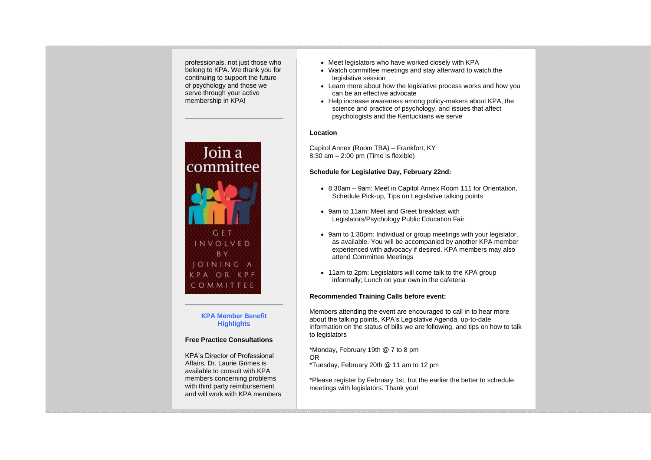professionals, not just those who belong to KPA. We thank you for continuing to support the future of psychology and those we serve through your active membership in KPA!



## **KPA Member Benefit Highlights**

## **Free Practice Consultations**

KPA's Director of Professional Affairs, Dr. Laurie Grimes is available to consult with KPA members concerning problems with third party reimbursement and will work with KPA members

- Meet legislators who have worked closely with KPA
- Watch committee meetings and stay afterward to watch the legislative session
- Learn more about how the legislative process works and how you can be an effective advocate
- Help increase awareness among policy-makers about KPA, the science and practice of psychology, and issues that affect psychologists and the Kentuckians we serve

## **Location**

Capitol Annex (Room TBA) – Frankfort, KY 8:30 am – 2:00 pm (Time is flexible)

## **Schedule for Legislative Day, February 22nd:**

- 8:30am 9am: Meet in Capitol Annex Room 111 for Orientation, Schedule Pick-up, Tips on Legislative talking points
- 9am to 11am: Meet and Greet breakfast with Legislators/Psychology Public Education Fair
- 9am to 1:30pm: Individual or group meetings with your legislator, as available. You will be accompanied by another KPA member experienced with advocacy if desired. KPA members may also attend Committee Meetings
- 11am to 2pm: Legislators will come talk to the KPA group informally; Lunch on your own in the cafeteria

## **Recommended Training Calls before event:**

Members attending the event are encouraged to call in to hear more about the talking points, KPA's Legislative Agenda, up-to-date information on the status of bills we are following, and tips on how to talk to legislators

\*Monday, February 19th @ 7 to 8 pm OR \*Tuesday, February 20th @ 11 am to 12 pm

\*Please register by February 1st, but the earlier the better to schedule meetings with legislators. Thank you!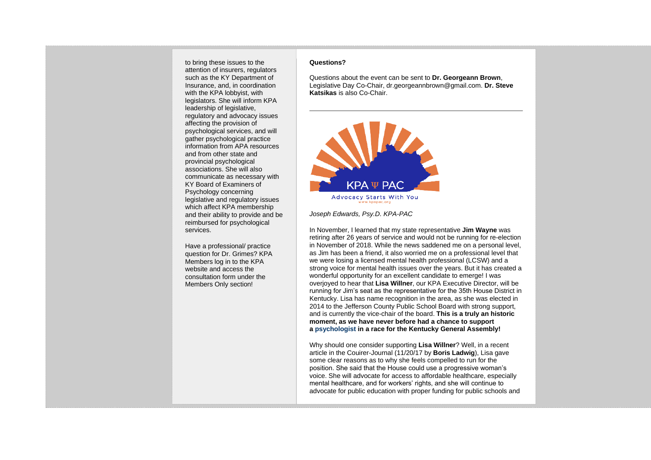to bring these issues to the attention of insurers, regulators such as the KY Department of Insurance, and, in coordination with the KPA lobbyist, with legislators. She will inform KPA leadership of legislative. regulatory and advocacy issues affecting the provision of psychological services, and will gather psychological practice information from APA resources and from other state and provincial psychological associations. She will also communicate as necessary with KY Board of Examiners of Psychology concerning legislative and regulatory issues which affect KPA membership and their ability to provide and be reimbursed for psychological services.

Have a professional/ practice question for Dr. Grimes? KPA Members log in to the KPA website and access the consultation form under the Members Only section!

## **Questions?**

Questions about the event can be sent to **Dr. Georgeann Brown**, Legislative Day Co-Chair, dr.georgeannbrown@gmail.com. **Dr. Steve Katsikas** is also Co-Chair.



*Joseph Edwards, Psy.D. KPA-PAC*

In November, I learned that my state representative **Jim Wayne** was retiring after 26 years of service and would not be running for re-election in November of 2018. While the news saddened me on a personal level, as Jim has been a friend, it also worried me on a professional level that we were losing a licensed mental health professional (LCSW) and a strong voice for mental health issues over the years. But it has created a wonderful opportunity for an excellent candidate to emerge! I was overjoyed to hear that **Lisa Willner**, our KPA Executive Director, will be running for Jim's seat as the representative for the 35th House District in Kentucky. Lisa has name recognition in the area, as she was elected in 2014 to the Jefferson County Public School Board with strong support, and is currently the vice-chair of the board. **This is a truly an historic moment, as we have never before had a chance to support a psychologist in a race for the Kentucky General Assembly!**

Why should one consider supporting **Lisa Willner**? Well, in a recent article in the Couirer-Journal (11/20/17 by **Boris Ladwig**), Lisa gave some clear reasons as to why she feels compelled to run for the position. She said that the House could use a progressive woman's voice. She will advocate for access to affordable healthcare, especially mental healthcare, and for workers' rights, and she will continue to advocate for public education with proper funding for public schools and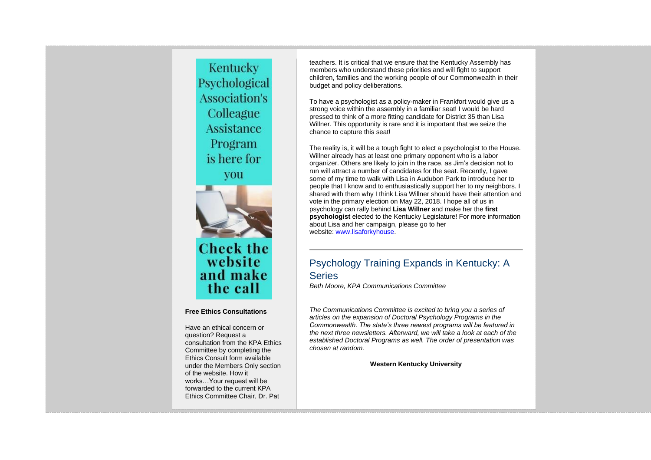Kentucky Psychological **Association's** Colleague **Assistance** Program is here for you



# **Check the** website and make the call

## **Free Ethics Consultations**

Have an ethical concern or question? Request a consultation from the KPA Ethics Committee by completing the Ethics Consult form available under the Members Only section of the website. How it works…Your request will be forwarded to the current KPA Ethics Committee Chair, Dr. Pat

teachers. It is critical that we ensure that the Kentucky Assembly has members who understand these priorities and will fight to support children, families and the working people of our Commonwealth in their budget and policy deliberations.

To have a psychologist as a policy-maker in Frankfort would give us a strong voice within the assembly in a familiar seat! I would be hard pressed to think of a more fitting candidate for District 35 than Lisa Willner. This opportunity is rare and it is important that we seize the chance to capture this seat!

The reality is, it will be a tough fight to elect a psychologist to the House. Willner already has at least one primary opponent who is a labor organizer. Others are likely to join in the race, as Jim's decision not to run will attract a number of candidates for the seat. Recently, I gave some of my time to walk with Lisa in Audubon Park to introduce her to people that I know and to enthusiastically support her to my neighbors. I shared with them why I think Lisa Willner should have their attention and vote in the primary election on May 22, 2018. I hope all of us in psychology can rally behind **Lisa Willner** and make her the **first psychologist** elected to the Kentucky Legislature! For more information about Lisa and her campaign, please go to her website: [www.lisaforkyhouse.](http://www.lisaforkyhouse/)

# Psychology Training Expands in Kentucky: A **Series**

*Beth Moore, KPA Communications Committee*

*The Communications Committee is excited to bring you a series of articles on the expansion of Doctoral Psychology Programs in the Commonwealth. The state's three newest programs will be featured in the next three newsletters. Afterward, we will take a look at each of the established Doctoral Programs as well. The order of presentation was chosen at random.*

**Western Kentucky University**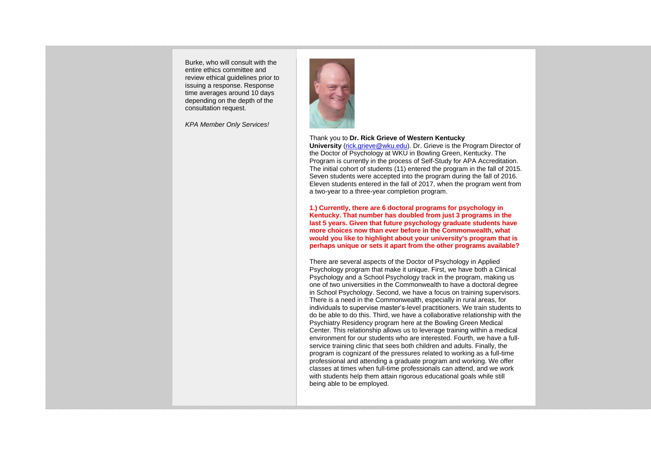Burke, who will consult with the entire ethics committee and review ethical guidelines prior to issuing a response. Response time averages around 10 days depending on the depth of the consultation request.

*KPA Member Only Services!*



#### Thank you to **Dr. Rick Grieve of Western Kentucky**

**University** [\(rick.grieve@wku.edu\)](mailto:rick.grieve@wku.edu). Dr. Grieve is the Program Director of the Doctor of Psychology at WKU in Bowling Green, Kentucky. The Program is currently in the process of Self-Study for APA Accreditation. The initial cohort of students (11) entered the program in the fall of 2015. Seven students were accepted into the program during the fall of 2016. Eleven students entered in the fall of 2017, when the program went from a two-year to a three-year completion program.

**1.) Currently, there are 6 doctoral programs for psychology in Kentucky. That number has doubled from just 3 programs in the last 5 years. Given that future psychology graduate students have more choices now than ever before in the Commonwealth, what would you like to highlight about your university's program that is perhaps unique or sets it apart from the other programs available?**

There are several aspects of the Doctor of Psychology in Applied Psychology program that make it unique. First, we have both a Clinical Psychology and a School Psychology track in the program, making us one of two universities in the Commonwealth to have a doctoral degree in School Psychology. Second, we have a focus on training supervisors. There is a need in the Commonwealth, especially in rural areas, for individuals to supervise master's-level practitioners. We train students to do be able to do this. Third, we have a collaborative relationship with the Psychiatry Residency program here at the Bowling Green Medical Center. This relationship allows us to leverage training within a medical environment for our students who are interested. Fourth, we have a fullservice training clinic that sees both children and adults. Finally, the program is cognizant of the pressures related to working as a full-time professional and attending a graduate program and working. We offer classes at times when full-time professionals can attend, and we work with students help them attain rigorous educational goals while still being able to be employed.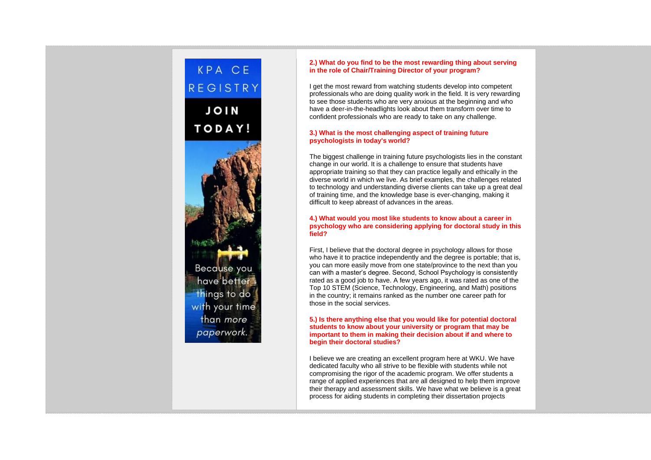# KPA CE REGISTRY

**JOIN** TODAY!



## **2.) What do you find to be the most rewarding thing about serving in the role of Chair/Training Director of your program?**

I get the most reward from watching students develop into competent professionals who are doing quality work in the field. It is very rewarding to see those students who are very anxious at the beginning and who have a deer-in-the-headlights look about them transform over time to confident professionals who are ready to take on any challenge.

## **3.) What is the most challenging aspect of training future psychologists in today's world?**

The biggest challenge in training future psychologists lies in the constant change in our world. It is a challenge to ensure that students have appropriate training so that they can practice legally and ethically in the diverse world in which we live. As brief examples, the challenges related to technology and understanding diverse clients can take up a great deal of training time, and the knowledge base is ever-changing, making it difficult to keep abreast of advances in the areas.

## **4.) What would you most like students to know about a career in psychology who are considering applying for doctoral study in this field?**

First, I believe that the doctoral degree in psychology allows for those who have it to practice independently and the degree is portable; that is, you can more easily move from one state/province to the next than you can with a master's degree. Second, School Psychology is consistently rated as a good job to have. A few years ago, it was rated as one of the Top 10 STEM (Science, Technology, Engineering, and Math) positions in the country; it remains ranked as the number one career path for those in the social services.

## **5.) Is there anything else that you would like for potential doctoral students to know about your university or program that may be important to them in making their decision about if and where to begin their doctoral studies?**

I believe we are creating an excellent program here at WKU. We have dedicated faculty who all strive to be flexible with students while not compromising the rigor of the academic program. We offer students a range of applied experiences that are all designed to help them improve their therapy and assessment skills. We have what we believe is a great process for aiding students in completing their dissertation projects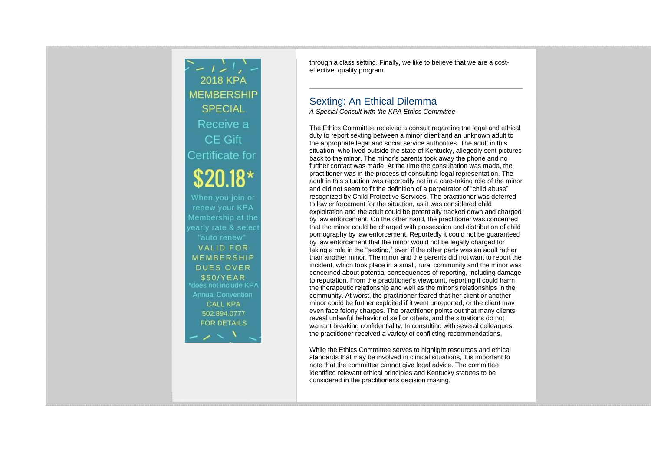

through a class setting. Finally, we like to believe that we are a costeffective, quality program.

# Sexting: An Ethical Dilemma

*A Special Consult with the KPA Ethics Committee*

The Ethics Committee received a consult regarding the legal and ethical duty to report sexting between a minor client and an unknown adult to the appropriate legal and social service authorities. The adult in this situation, who lived outside the state of Kentucky, allegedly sent pictures back to the minor. The minor's parents took away the phone and no further contact was made. At the time the consultation was made, the practitioner was in the process of consulting legal representation. The adult in this situation was reportedly not in a care-taking role of the minor and did not seem to fit the definition of a perpetrator of "child abuse" recognized by Child Protective Services. The practitioner was deferred to law enforcement for the situation, as it was considered child exploitation and the adult could be potentially tracked down and charged by law enforcement. On the other hand, the practitioner was concerned that the minor could be charged with possession and distribution of child pornography by law enforcement. Reportedly it could not be guaranteed by law enforcement that the minor would not be legally charged for taking a role in the "sexting," even if the other party was an adult rather than another minor. The minor and the parents did not want to report the incident, which took place in a small, rural community and the minor was concerned about potential consequences of reporting, including damage to reputation. From the practitioner's viewpoint, reporting it could harm the therapeutic relationship and well as the minor's relationships in the community. At worst, the practitioner feared that her client or another minor could be further exploited if it went unreported, or the client may even face felony charges. The practitioner points out that many clients reveal unlawful behavior of self or others, and the situations do not warrant breaking confidentiality. In consulting with several colleagues, the practitioner received a variety of conflicting recommendations.

While the Ethics Committee serves to highlight resources and ethical standards that may be involved in clinical situations, it is important to note that the committee cannot give legal advice. The committee identified relevant ethical principles and Kentucky statutes to be considered in the practitioner's decision making.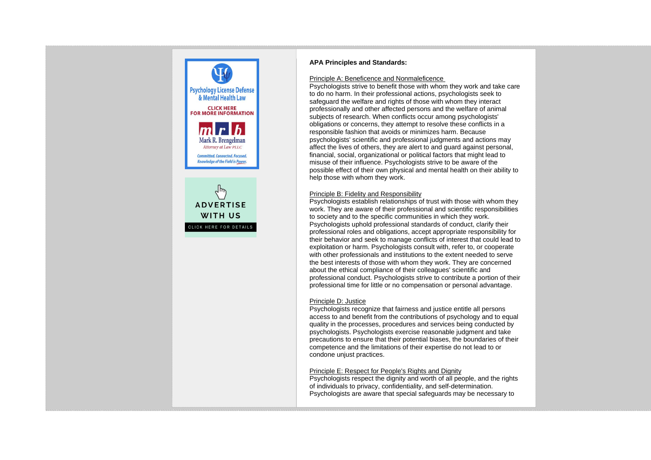

**ADVERTISE WITH US** CLICK HERE FOR DETAILS

## **APA Principles and Standards:**

## Principle A: Beneficence and Nonmaleficence

Psychologists strive to benefit those with whom they work and take care to do no harm. In their professional actions, psychologists seek to safeguard the welfare and rights of those with whom they interact professionally and other affected persons and the welfare of animal subjects of research. When conflicts occur among psychologists' obligations or concerns, they attempt to resolve these conflicts in a responsible fashion that avoids or minimizes harm. Because psychologists' scientific and professional judgments and actions may affect the lives of others, they are alert to and guard against personal, financial, social, organizational or political factors that might lead to misuse of their influence. Psychologists strive to be aware of the possible effect of their own physical and mental health on their ability to help those with whom they work.

## Principle B: Fidelity and Responsibility

Psychologists establish relationships of trust with those with whom they work. They are aware of their professional and scientific responsibilities to society and to the specific communities in which they work. Psychologists uphold professional standards of conduct, clarify their professional roles and obligations, accept appropriate responsibility for their behavior and seek to manage conflicts of interest that could lead to exploitation or harm. Psychologists consult with, refer to, or cooperate with other professionals and institutions to the extent needed to serve the best interests of those with whom they work. They are concerned about the ethical compliance of their colleagues' scientific and professional conduct. Psychologists strive to contribute a portion of their professional time for little or no compensation or personal advantage.

## Principle D: Justice

Psychologists recognize that fairness and justice entitle all persons access to and benefit from the contributions of psychology and to equal quality in the processes, procedures and services being conducted by psychologists. Psychologists exercise reasonable judgment and take precautions to ensure that their potential biases, the boundaries of their competence and the limitations of their expertise do not lead to or condone unjust practices.

## Principle E: Respect for People's Rights and Dignity

Psychologists respect the dignity and worth of all people, and the rights of individuals to privacy, confidentiality, and self-determination. Psychologists are aware that special safeguards may be necessary to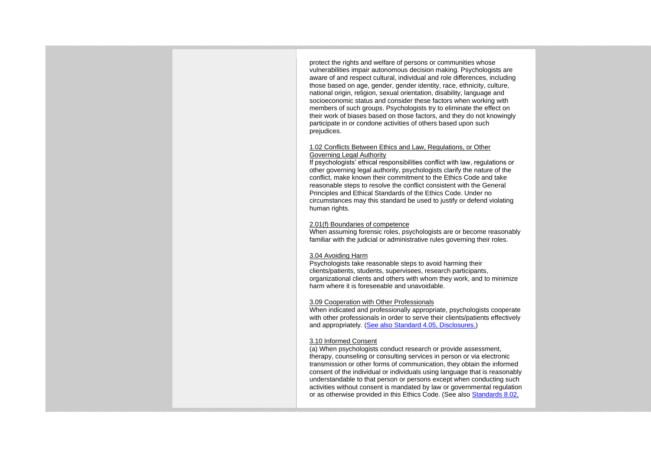protect the rights and welfare of persons or communities whose vulnerabilities impair autonomous decision making. Psychologists are aware of and respect cultural, individual and role differences, including those based on age, gender, gender identity, race, ethnicity, culture, national origin, religion, sexual orientation, disability, language and socioeconomic status and consider these factors when working with members of such groups. Psychologists try to eliminate the effect on their work of biases based on those factors, and they do not knowingly participate in or condone activities of others based upon such prejudices.

## 1.02 Conflicts Between Ethics and Law, Regulations, or Other Governing Legal Authority

If psychologists' ethical responsibilities conflict with law, regulations or other governing legal authority, psychologists clarify the nature of the conflict, make known their commitment to the Ethics Code and take reasonable steps to resolve the conflict consistent with the General Principles and Ethical Standards of the Ethics Code. Under no circumstances may this standard be used to justify or defend violating human rights.

## 2.01(f) Boundaries of competence

When assuming forensic roles, psychologists are or become reasonably familiar with the judicial or administrative rules governing their roles.

## 3.04 Avoiding Harm

Psychologists take reasonable steps to avoid harming their clients/patients, students, supervisees, research participants, organizational clients and others with whom they work, and to minimize harm where it is foreseeable and unavoidable.

## 3.09 Cooperation with Other Professionals

When indicated and professionally appropriate, psychologists cooperate with other professionals in order to serve their clients/patients effectively and appropriately. [\(See also Standard 4.05, Disclosures.\)](http://www.apa.org/ethics/code/?item=7#405)

## 3.10 Informed Consent

(a) When psychologists conduct research or provide assessment, therapy, counseling or consulting services in person or via electronic transmission or other forms of communication, they obtain the informed consent of the individual or individuals using language that is reasonably understandable to that person or persons except when conducting such activities without consent is mandated by law or governmental regulation or as otherwise provided in this Ethics Code. (See also [Standards 8.02,](http://www.apa.org/ethics/code/?item=11#802)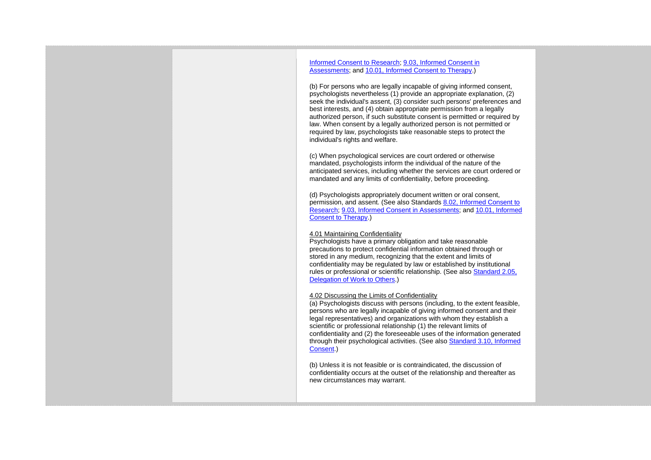## [Informed Consent to Research;](http://www.apa.org/ethics/code/?item=11#802) [9.03, Informed Consent in](http://www.apa.org/ethics/code/?item=12#903)  [Assessments;](http://www.apa.org/ethics/code/?item=12#903) and [10.01, Informed Consent to Therapy.](http://www.apa.org/ethics/code/?item=13#1001))

(b) For persons who are legally incapable of giving informed consent, psychologists nevertheless (1) provide an appropriate explanation, (2) seek the individual's assent, (3) consider such persons' preferences and best interests, and (4) obtain appropriate permission from a legally authorized person, if such substitute consent is permitted or required by law. When consent by a legally authorized person is not permitted or required by law, psychologists take reasonable steps to protect the individual's rights and welfare.

(c) When psychological services are court ordered or otherwise mandated, psychologists inform the individual of the nature of the anticipated services, including whether the services are court ordered or mandated and any limits of confidentiality, before proceeding.

(d) Psychologists appropriately document written or oral consent, permission, and assent. (See also Standards [8.02, Informed Consent to](http://www.apa.org/ethics/code/?item=11#802)  [Research;](http://www.apa.org/ethics/code/?item=11#802) [9.03, Informed Consent in Assessments;](http://www.apa.org/ethics/code/?item=12#903) and [10.01, Informed](http://www.apa.org/ethics/code/?item=13#1001)  [Consent to Therapy.](http://www.apa.org/ethics/code/?item=13#1001))

## 4.01 Maintaining Confidentiality

Psychologists have a primary obligation and take reasonable precautions to protect confidential information obtained through or stored in any medium, recognizing that the extent and limits of confidentiality may be regulated by law or established by institutional rules or professional or scientific relationship. (See also [Standard 2.05,](http://www.apa.org/ethics/code/?item=5#205)  [Delegation of Work to Others.](http://www.apa.org/ethics/code/?item=5#205))

## 4.02 Discussing the Limits of Confidentiality

(a) Psychologists discuss with persons (including, to the extent feasible, persons who are legally incapable of giving informed consent and their legal representatives) and organizations with whom they establish a scientific or professional relationship (1) the relevant limits of confidentiality and (2) the foreseeable uses of the information generated through their psychological activities. (See also [Standard 3.10, Informed](http://www.apa.org/ethics/code/?item=6#310)  [Consent.](http://www.apa.org/ethics/code/?item=6#310))

(b) Unless it is not feasible or is contraindicated, the discussion of confidentiality occurs at the outset of the relationship and thereafter as new circumstances may warrant.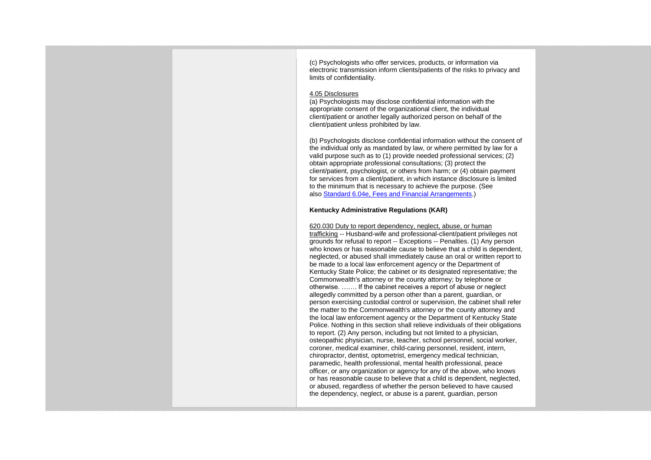(c) Psychologists who offer services, products, or information via electronic transmission inform clients/patients of the risks to privacy and limits of confidentiality.

#### 4.05 Disclosures

(a) Psychologists may disclose confidential information with the appropriate consent of the organizational client, the individual client/patient or another legally authorized person on behalf of the client/patient unless prohibited by law.

(b) Psychologists disclose confidential information without the consent of the individual only as mandated by law, or where permitted by law for a valid purpose such as to (1) provide needed professional services; (2) obtain appropriate professional consultations; (3) protect the client/patient, psychologist, or others from harm; or (4) obtain payment for services from a client/patient, in which instance disclosure is limited to the minimum that is necessary to achieve the purpose. (See also [Standard 6.04e, Fees and Financial Arrangements.](http://www.apa.org/ethics/code/?item=9#604e))

## **Kentucky Administrative Regulations (KAR)**

#### 620.030 Duty to report dependency, neglect, abuse, or human

trafficking -- Husband-wife and professional-client/patient privileges not grounds for refusal to report -- Exceptions -- Penalties. (1) Any person who knows or has reasonable cause to believe that a child is dependent, neglected, or abused shall immediately cause an oral or written report to be made to a local law enforcement agency or the Department of Kentucky State Police; the cabinet or its designated representative; the Commonwealth's attorney or the county attorney; by telephone or otherwise. ……. If the cabinet receives a report of abuse or neglect allegedly committed by a person other than a parent, guardian, or person exercising custodial control or supervision, the cabinet shall refer the matter to the Commonwealth's attorney or the county attorney and the local law enforcement agency or the Department of Kentucky State Police. Nothing in this section shall relieve individuals of their obligations to report. (2) Any person, including but not limited to a physician, osteopathic physician, nurse, teacher, school personnel, social worker, coroner, medical examiner, child-caring personnel, resident, intern, chiropractor, dentist, optometrist, emergency medical technician, paramedic, health professional, mental health professional, peace officer, or any organization or agency for any of the above, who knows or has reasonable cause to believe that a child is dependent, neglected, or abused, regardless of whether the person believed to have caused the dependency, neglect, or abuse is a parent, guardian, person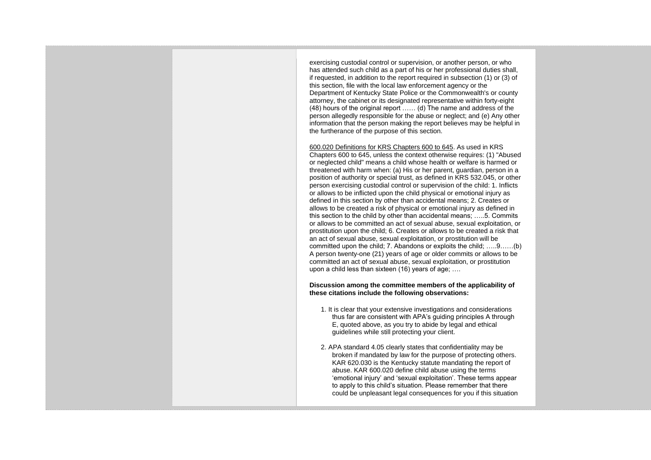exercising custodial control or supervision, or another person, or who has attended such child as a part of his or her professional duties shall, if requested, in addition to the report required in subsection (1) or (3) of this section, file with the local law enforcement agency or the Department of Kentucky State Police or the Commonwealth's or county attorney, the cabinet or its designated representative within forty-eight (48) hours of the original report …… (d) The name and address of the person allegedly responsible for the abuse or neglect; and (e) Any other information that the person making the report believes may be helpful in the furtherance of the purpose of this section.

600.020 Definitions for KRS Chapters 600 to 645. As used in KRS Chapters 600 to 645, unless the context otherwise requires: (1) "Abused or neglected child" means a child whose health or welfare is harmed or threatened with harm when: (a) His or her parent, guardian, person in a position of authority or special trust, as defined in KRS 532.045, or other person exercising custodial control or supervision of the child: 1. Inflicts or allows to be inflicted upon the child physical or emotional injury as defined in this section by other than accidental means; 2. Creates or allows to be created a risk of physical or emotional injury as defined in this section to the child by other than accidental means; …..5. Commits or allows to be committed an act of sexual abuse, sexual exploitation, or prostitution upon the child; 6. Creates or allows to be created a risk that an act of sexual abuse, sexual exploitation, or prostitution will be committed upon the child; 7. Abandons or exploits the child; …..9……(b) A person twenty-one (21) years of age or older commits or allows to be committed an act of sexual abuse, sexual exploitation, or prostitution upon a child less than sixteen (16) years of age; ….

## **Discussion among the committee members of the applicability of these citations include the following observations:**

- 1. It is clear that your extensive investigations and considerations thus far are consistent with APA's guiding principles A through E, quoted above, as you try to abide by legal and ethical guidelines while still protecting your client.
- 2. APA standard 4.05 clearly states that confidentiality may be broken if mandated by law for the purpose of protecting others. KAR 620.030 is the Kentucky statute mandating the report of abuse. KAR 600.020 define child abuse using the terms 'emotional injury' and 'sexual exploitation'. These terms appear to apply to this child's situation. Please remember that there could be unpleasant legal consequences for you if this situation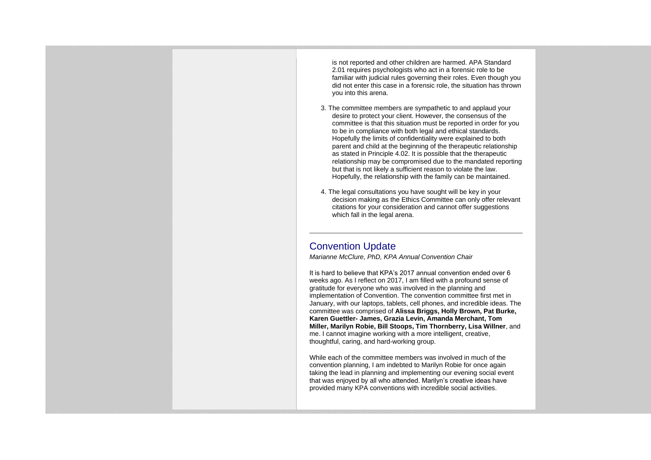is not reported and other children are harmed. APA Standard 2.01 requires psychologists who act in a forensic role to be familiar with judicial rules governing their roles. Even though you did not enter this case in a forensic role, the situation has thrown you into this arena.

- 3. The committee members are sympathetic to and applaud your desire to protect your client. However, the consensus of the committee is that this situation must be reported in order for you to be in compliance with both legal and ethical standards. Hopefully the limits of confidentiality were explained to both parent and child at the beginning of the therapeutic relationship as stated in Principle 4.02. It is possible that the therapeutic relationship may be compromised due to the mandated reporting but that is not likely a sufficient reason to violate the law. Hopefully, the relationship with the family can be maintained.
- 4. The legal consultations you have sought will be key in your decision making as the Ethics Committee can only offer relevant citations for your consideration and cannot offer suggestions which fall in the legal arena.

## Convention Update

*Marianne McClure, PhD, KPA Annual Convention Chair*

It is hard to believe that KPA's 2017 annual convention ended over 6 weeks ago. As I reflect on 2017, I am filled with a profound sense of gratitude for everyone who was involved in the planning and implementation of Convention. The convention committee first met in January, with our laptops, tablets, cell phones, and incredible ideas. The committee was comprised of **Alissa Briggs, Holly Brown, Pat Burke, Karen Guettler- James, Grazia Levin, Amanda Merchant, Tom Miller, Marilyn Robie, Bill Stoops, Tim Thornberry, Lisa Willner**, and me. I cannot imagine working with a more intelligent, creative, thoughtful, caring, and hard-working group.

While each of the committee members was involved in much of the convention planning, I am indebted to Marilyn Robie for once again taking the lead in planning and implementing our evening social event that was enjoyed by all who attended. Marilyn's creative ideas have provided many KPA conventions with incredible social activities.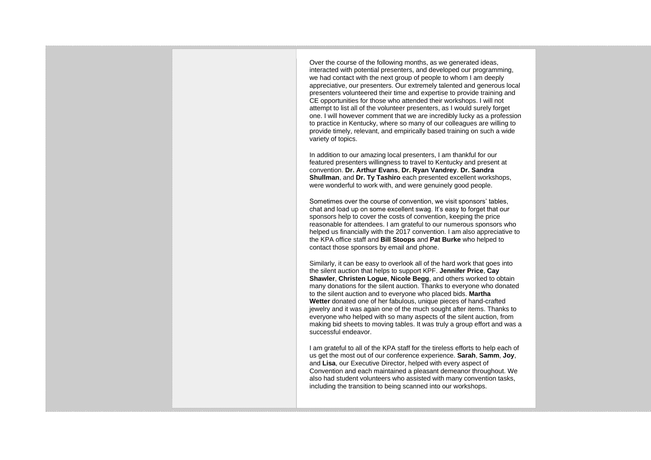Over the course of the following months, as we generated ideas, interacted with potential presenters, and developed our programming, we had contact with the next group of people to whom I am deeply appreciative, our presenters. Our extremely talented and generous local presenters volunteered their time and expertise to provide training and CE opportunities for those who attended their workshops. I will not attempt to list all of the volunteer presenters, as I would surely forget one. I will however comment that we are incredibly lucky as a profession to practice in Kentucky, where so many of our colleagues are willing to provide timely, relevant, and empirically based training on such a wide variety of topics.

In addition to our amazing local presenters, I am thankful for our featured presenters willingness to travel to Kentucky and present at convention. **Dr. Arthur Evans**, **Dr. Ryan Vandrey**. **Dr. Sandra Shullman**, and **Dr. Ty Tashiro** each presented excellent workshops, were wonderful to work with, and were genuinely good people.

Sometimes over the course of convention, we visit sponsors' tables, chat and load up on some excellent swag. It's easy to forget that our sponsors help to cover the costs of convention, keeping the price reasonable for attendees. I am grateful to our numerous sponsors who helped us financially with the 2017 convention. I am also appreciative to the KPA office staff and **Bill Stoops** and **Pat Burke** who helped to contact those sponsors by email and phone.

Similarly, it can be easy to overlook all of the hard work that goes into the silent auction that helps to support KPF. **Jennifer Price**, **Cay Shawler**, **Christen Logue**, **Nicole Begg**, and others worked to obtain many donations for the silent auction. Thanks to everyone who donated to the silent auction and to everyone who placed bids. **Martha Wetter** donated one of her fabulous, unique pieces of hand-crafted jewelry and it was again one of the much sought after items. Thanks to everyone who helped with so many aspects of the silent auction, from making bid sheets to moving tables. It was truly a group effort and was a successful endeavor.

I am grateful to all of the KPA staff for the tireless efforts to help each of us get the most out of our conference experience. **Sarah**, **Samm**, **Joy**, and **Lisa**, our Executive Director, helped with every aspect of Convention and each maintained a pleasant demeanor throughout. We also had student volunteers who assisted with many convention tasks, including the transition to being scanned into our workshops.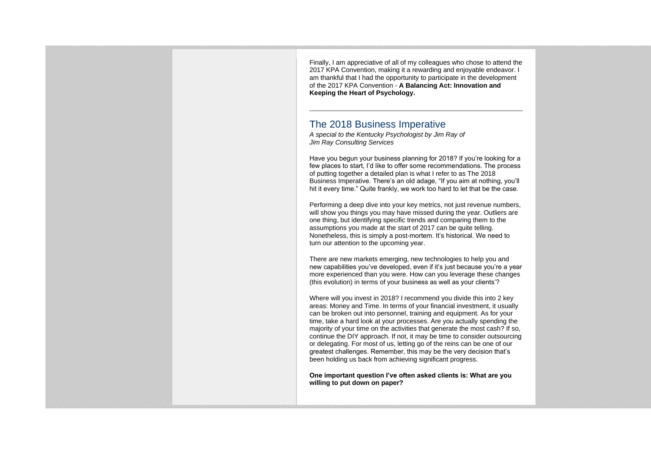Finally, I am appreciative of all of my colleagues who chose to attend the 2017 KPA Convention, making it a rewarding and enjoyable endeavor. I am thankful that I had the opportunity to participate in the development of the 2017 KPA Convention - **A Balancing Act: Innovation and Keeping the Heart of Psychology.**

# The 2018 Business Imperative

*A special to the Kentucky Psychologist by Jim Ray of Jim Ray Consulting Services*

Have you begun your business planning for 2018? If you're looking for a few places to start, I'd like to offer some recommendations. The process of putting together a detailed plan is what I refer to as The 2018 Business Imperative. There's an old adage, "If you aim at nothing, you'll hit it every time." Quite frankly, we work too hard to let that be the case.

Performing a deep dive into your key metrics, not just revenue numbers, will show you things you may have missed during the year. Outliers are one thing, but identifying specific trends and comparing them to the assumptions you made at the start of 2017 can be quite telling. Nonetheless, this is simply a post-mortem. It's historical. We need to turn our attention to the upcoming year.

There are new markets emerging, new technologies to help you and new capabilities you've developed, even if it's just because you're a year more experienced than you were. How can you leverage these changes (this evolution) in terms of your business as well as your clients'?

Where will you invest in 2018? I recommend you divide this into 2 key areas: Money and Time. In terms of your financial investment, it usually can be broken out into personnel, training and equipment. As for your time, take a hard look at your processes. Are you actually spending the majority of your time on the activities that generate the most cash? If so, continue the DIY approach. If not, it may be time to consider outsourcing or delegating. For most of us, letting go of the reins can be one of our greatest challenges. Remember, this may be the very decision that's been holding us back from achieving significant progress.

**One important question I've often asked clients is: What are you willing to put down on paper?**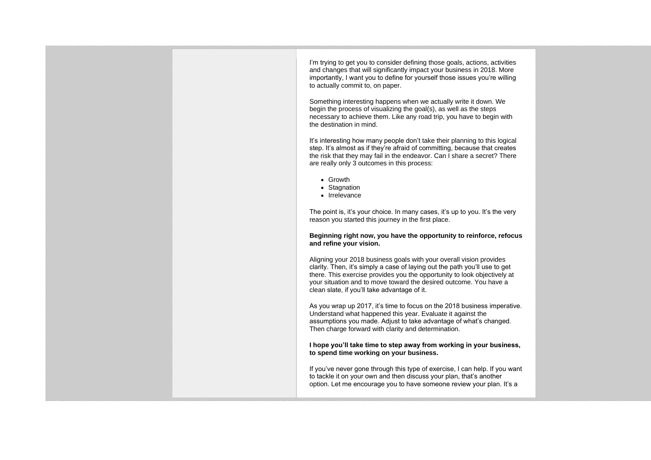I'm trying to get you to consider defining those goals, actions, activities and changes that will significantly impact your business in 2018. More importantly, I want you to define for yourself those issues you're willing to actually commit to, on paper.

Something interesting happens when we actually write it down. We begin the process of visualizing the goal(s), as well as the steps necessary to achieve them. Like any road trip, you have to begin with the destination in mind.

It's interesting how many people don't take their planning to this logical step. It's almost as if they're afraid of committing, because that creates the risk that they may fail in the endeavor. Can I share a secret? There are really only 3 outcomes in this process:

- Growth
- Stagnation
- Irrelevance

The point is, it's your choice. In many cases, it's up to you. It's the very reason you started this journey in the first place.

## **Beginning right now, you have the opportunity to reinforce, refocus and refine your vision.**

Aligning your 2018 business goals with your overall vision provides clarity. Then, it's simply a case of laying out the path you'll use to get there. This exercise provides you the opportunity to look objectively at your situation and to move toward the desired outcome. You have a clean slate, if you'll take advantage of it.

As you wrap up 2017, it's time to focus on the 2018 business imperative. Understand what happened this year. Evaluate it against the assumptions you made. Adjust to take advantage of what's changed. Then charge forward with clarity and determination.

## **I hope you'll take time to step away from working in your business, to spend time working on your business.**

If you've never gone through this type of exercise, I can help. If you want to tackle it on your own and then discuss your plan, that's another option. Let me encourage you to have someone review your plan. It's a